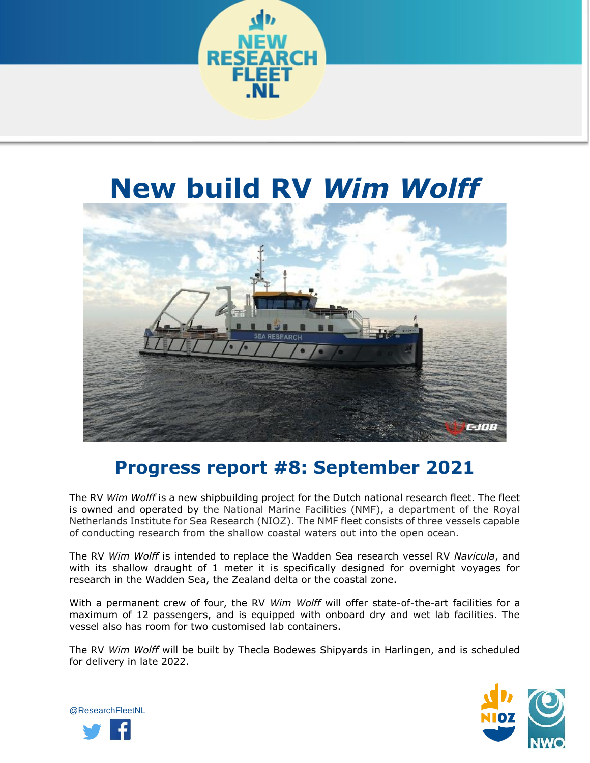

# **New build RV** *Wim Wolff*



## **Progress report #8: September 2021**

The RV *Wim Wolff* is a new shipbuilding project for the Dutch national research fleet. The fleet is owned and operated by the National Marine Facilities (NMF), a department of the Royal Netherlands Institute for Sea Research (NIOZ). The NMF fleet consists of three vessels capable of conducting research from the shallow coastal waters out into the open ocean.

The RV *Wim Wolff* is intended to replace the Wadden Sea research vessel RV *Navicula*, and with its shallow draught of 1 meter it is specifically designed for overnight voyages for research in the Wadden Sea, the Zealand delta or the coastal zone.

With a permanent crew of four, the RV *Wim Wolff* will offer state-of-the-art facilities for a maximum of 12 passengers, and is equipped with onboard dry and wet lab facilities. The vessel also has room for two customised lab containers.

The RV *Wim Wolff* will be built by Thecla Bodewes Shipyards in Harlingen, and is scheduled for delivery in late 2022.



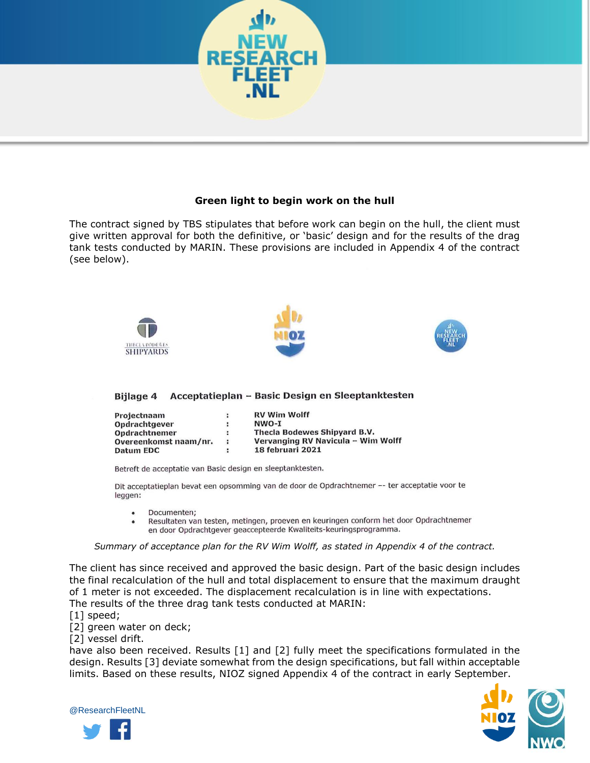

### **Green light to begin work on the hull**

The contract signed by TBS stipulates that before work can begin on the hull, the client must give written approval for both the definitive, or 'basic' design and for the results of the drag tank tests conducted by MARIN. These provisions are included in Appendix 4 of the contract (see below).



### Bijlage 4 Acceptatieplan - Basic Design en Sleeptanktesten

| Projectnaam           | $\ddot{\phantom{a}}$ | <b>RV Wim Wolff</b>                |
|-----------------------|----------------------|------------------------------------|
| Opdrachtgever         | ÷                    | NWO-I                              |
| Opdrachtnemer         |                      | Thecla Bodewes Shipyard B.V.       |
| Overeenkomst naam/nr. | $\ddot{\phantom{a}}$ | Vervanging RV Navicula - Wim Wolff |
| Datum EDC             |                      | 18 februari 2021                   |

Betreft de acceptatie van Basic design en sleeptanktesten.

Dit acceptatieplan bevat een opsomming van de door de Opdrachtnemer -- ter acceptatie voor te leggen:

- Documenten:  $\bullet$
- Resultaten van testen, metingen, proeven en keuringen conform het door Opdrachtnemer en door Opdrachtgever geaccepteerde Kwaliteits-keuringsprogramma.

*Summary of acceptance plan for the RV Wim Wolff, as stated in Appendix 4 of the contract.*

The client has since received and approved the basic design. Part of the basic design includes the final recalculation of the hull and total displacement to ensure that the maximum draught of 1 meter is not exceeded. The displacement recalculation is in line with expectations. The results of the three drag tank tests conducted at MARIN:

- [1] speed;
- [2] green water on deck;

[2] vessel drift.

have also been received. Results [1] and [2] fully meet the specifications formulated in the design. Results [3] deviate somewhat from the design specifications, but fall within acceptable limits. Based on these results, NIOZ signed Appendix 4 of the contract in early September.



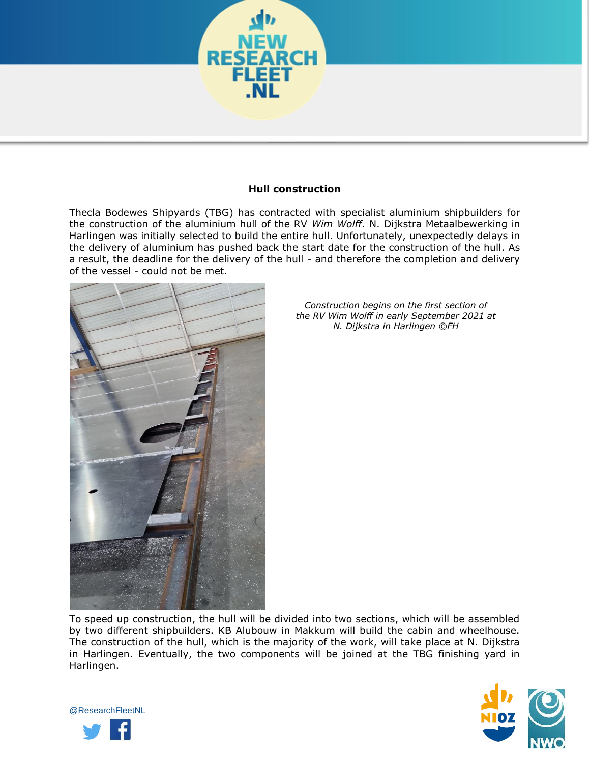

#### **Hull construction**

Thecla Bodewes Shipyards (TBG) has contracted with specialist aluminium shipbuilders for the construction of the aluminium hull of the RV *Wim Wolff*. N. Dijkstra Metaalbewerking in Harlingen was initially selected to build the entire hull. Unfortunately, unexpectedly delays in the delivery of aluminium has pushed back the start date for the construction of the hull. As a result, the deadline for the delivery of the hull - and therefore the completion and delivery of the vessel - could not be met.



*Construction begins on the first section of the RV Wim Wolff in early September 2021 at N. Dijkstra in Harlingen ©FH*

To speed up construction, the hull will be divided into two sections, which will be assembled by two different shipbuilders. KB Alubouw in Makkum will build the cabin and wheelhouse. The construction of the hull, which is the majority of the work, will take place at N. Dijkstra in Harlingen. Eventually, the two components will be joined at the TBG finishing yard in Harlingen.